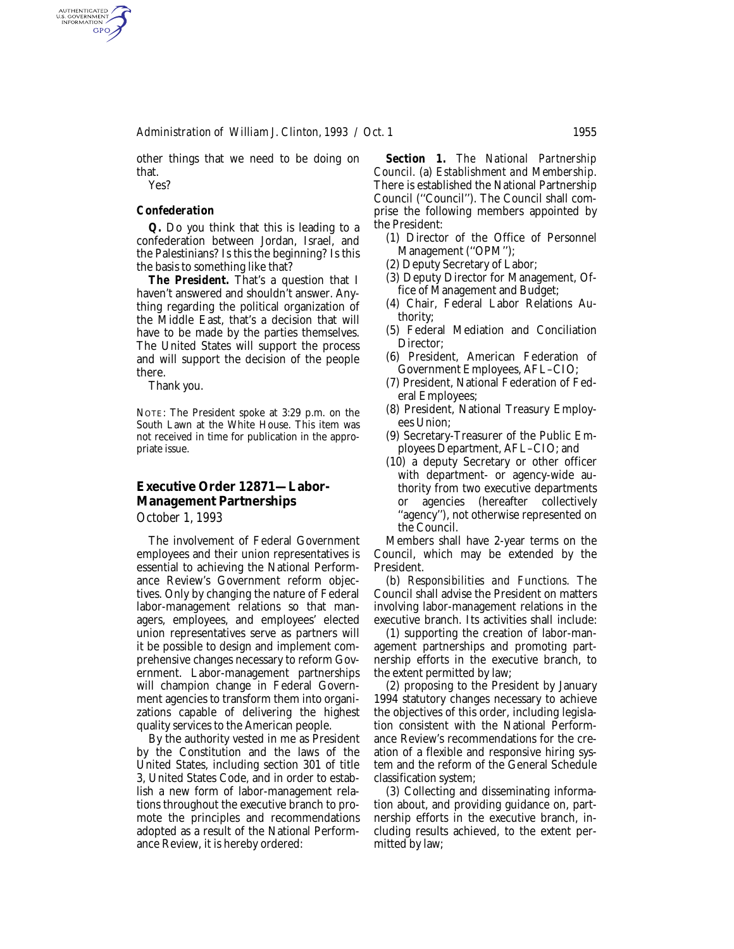*Administration of William J. Clinton, 1993 / Oct. 1* 1955

other things that we need to be doing on that.

Yes?

AUTHENTICATED<br>U.S. GOVERNMENT<br>INFORMATION **GPO** 

## *Confederation*

*Q.* Do you think that this is leading to a confederation between Jordan, Israel, and the Palestinians? Is this the beginning? Is this the basis to something like that?

*The President.* That's a question that I haven't answered and shouldn't answer. Anything regarding the political organization of the Middle East, that's a decision that will have to be made by the parties themselves. The United States will support the process and will support the decision of the people there.

Thank you.

NOTE: The President spoke at 3:29 p.m. on the South Lawn at the White House. This item was not received in time for publication in the appropriate issue.

## **Executive Order 12871—Labor-Management Partnerships**

*October 1, 1993*

The involvement of Federal Government employees and their union representatives is essential to achieving the National Performance Review's Government reform objectives. Only by changing the nature of Federal labor-management relations so that managers, employees, and employees' elected union representatives serve as partners will it be possible to design and implement comprehensive changes necessary to reform Government. Labor-management partnerships will champion change in Federal Government agencies to transform them into organizations capable of delivering the highest quality services to the American people.

By the authority vested in me as President by the Constitution and the laws of the United States, including section 301 of title 3, United States Code, and in order to establish a new form of labor-management relations throughout the executive branch to promote the principles and recommendations adopted as a result of the National Performance Review, it is hereby ordered:

*Section 1. The National Partnership Council.* (a) *Establishment and Membership.* There is established the National Partnership Council (''Council''). The Council shall comprise the following members appointed by the President:

- (1) Director of the Office of Personnel Management (''OPM'');
- (2) Deputy Secretary of Labor;
- (3) Deputy Director for Management, Office of Management and Budget;
- (4) Chair, Federal Labor Relations Authority;
- (5) Federal Mediation and Conciliation Director;
- (6) President, American Federation of Government Employees, AFL–CIO;
- (7) President, National Federation of Federal Employees;
- (8) President, National Treasury Employees Union;
- (9) Secretary-Treasurer of the Public Employees Department, AFL–CIO; and
- (10) a deputy Secretary or other officer with department- or agency-wide authority from two executive departments or agencies (hereafter collectively ''agency''), not otherwise represented on the Council.

Members shall have 2-year terms on the Council, which may be extended by the President.

(b) *Responsibilities and Functions.* The Council shall advise the President on matters involving labor-management relations in the executive branch. Its activities shall include:

(1) supporting the creation of labor-management partnerships and promoting partnership efforts in the executive branch, to the extent permitted by law;

(2) proposing to the President by January 1994 statutory changes necessary to achieve the objectives of this order, including legislation consistent with the National Performance Review's recommendations for the creation of a flexible and responsive hiring system and the reform of the General Schedule classification system;

(3) Collecting and disseminating information about, and providing guidance on, partnership efforts in the executive branch, including results achieved, to the extent permitted by law;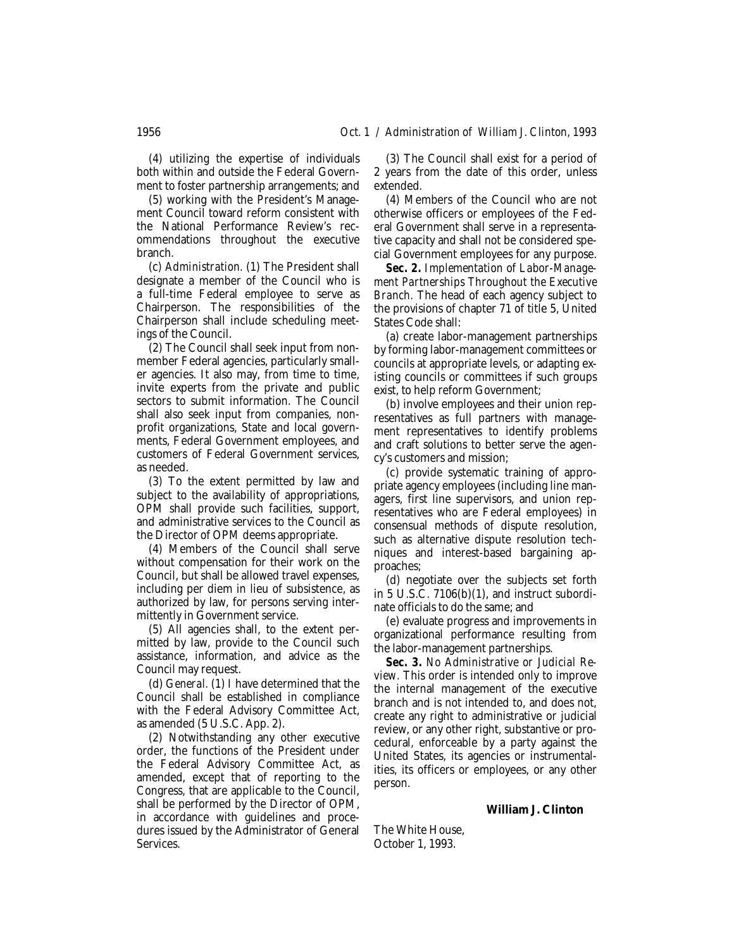(4) utilizing the expertise of individuals both within and outside the Federal Government to foster partnership arrangements; and

(5) working with the President's Management Council toward reform consistent with the National Performance Review's recommendations throughout the executive branch.

(c) *Administration.* (1) The President shall designate a member of the Council who is a full-time Federal employee to serve as Chairperson. The responsibilities of the Chairperson shall include scheduling meetings of the Council.

(2) The Council shall seek input from nonmember Federal agencies, particularly smaller agencies. It also may, from time to time, invite experts from the private and public sectors to submit information. The Council shall also seek input from companies, nonprofit organizations, State and local governments, Federal Government employees, and customers of Federal Government services, as needed.

(3) To the extent permitted by law and subject to the availability of appropriations, OPM shall provide such facilities, support, and administrative services to the Council as the Director of OPM deems appropriate.

(4) Members of the Council shall serve without compensation for their work on the Council, but shall be allowed travel expenses, including per diem in lieu of subsistence, as authorized by law, for persons serving intermittently in Government service.

(5) All agencies shall, to the extent permitted by law, provide to the Council such assistance, information, and advice as the Council may request.

(d) *General.* (1) I have determined that the Council shall be established in compliance with the Federal Advisory Committee Act, as amended (5 U.S.C. App. 2).

(2) Notwithstanding any other executive order, the functions of the President under the Federal Advisory Committee Act, as amended, except that of reporting to the Congress, that are applicable to the Council, shall be performed by the Director of OPM, in accordance with guidelines and procedures issued by the Administrator of General Services.

(3) The Council shall exist for a period of 2 years from the date of this order, unless extended.

(4) Members of the Council who are not otherwise officers or employees of the Federal Government shall serve in a representative capacity and shall not be considered special Government employees for any purpose.

*Sec. 2. Implementation of Labor-Management Partnerships Throughout the Executive Branch.* The head of each agency subject to the provisions of chapter 71 of title 5, United States Code shall:

(a) create labor-management partnerships by forming labor-management committees or councils at appropriate levels, or adapting existing councils or committees if such groups exist, to help reform Government;

(b) involve employees and their union representatives as full partners with management representatives to identify problems and craft solutions to better serve the agency's customers and mission;

(c) provide systematic training of appropriate agency employees (including line managers, first line supervisors, and union representatives who are Federal employees) in consensual methods of dispute resolution, such as alternative dispute resolution techniques and interest-based bargaining approaches;

(d) negotiate over the subjects set forth in 5 U.S.C. 7106(b)(1), and instruct subordinate officials to do the same; and

(e) evaluate progress and improvements in organizational performance resulting from the labor-management partnerships.

*Sec. 3. No Administrative or Judicial Review.* This order is intended only to improve the internal management of the executive branch and is not intended to, and does not, create any right to administrative or judicial review, or any other right, substantive or procedural, enforceable by a party against the United States, its agencies or instrumentalities, its officers or employees, or any other person.

**William J. Clinton**

The White House, October 1, 1993.